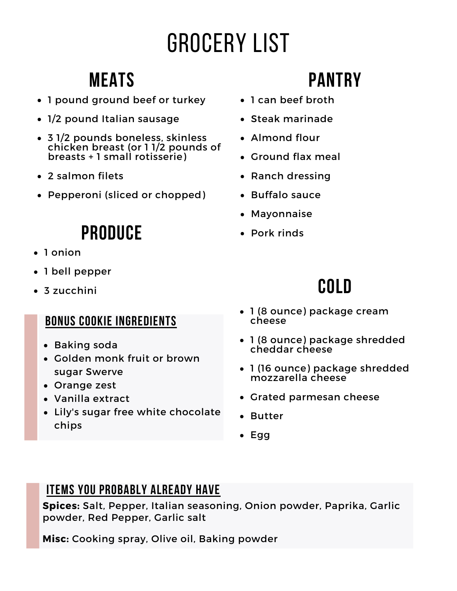# Grocery List

## **Meats**

- 1 pound ground beef or turkey
- 1/2 pound Italian sausage
- 3 1/2 pounds boneless, skinless chicken breast (or 1 1/2 pounds of breasts + 1 small rotisserie)
- 2 salmon filets
- Pepperoni (sliced or chopped)

## **Produce**

- 1 onion
- 1 bell pepper
- 3 zucchini

### **Bonus cookie ingredients**

- Baking soda
- Golden monk fruit or brown sugar Swerve
- Orange zest
- Vanilla extract
- Lily's sugar free white chocolate chips

## **Pantry**

- 1 can beef broth
- Steak marinade
- Almond flour
- Ground flax meal
- Ranch dressing
- Buffalo sauce
- Mayonnaise
- Pork rinds

## **Cold**

- 1 (8 ounce) package cream cheese
- 1 (8 ounce) package shredded cheddar cheese
- 1 (16 ounce) package shredded mozzarella cheese
- Grated parmesan cheese
- Butter
- $\cdot$  Egg

### **Items you probably already have**

**Spices:** Salt, Pepper, Italian seasoning, Onion powder, Paprika, Garlic powder, Red Pepper, Garlic salt

**Misc:** Cooking spray, Olive oil, Baking powder